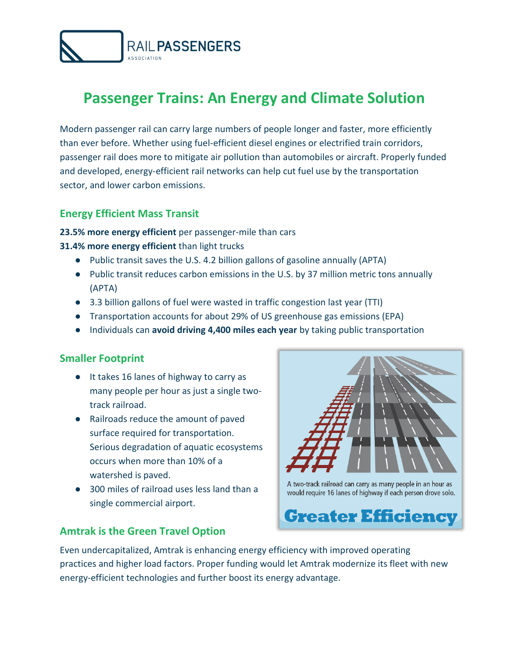

# **Passenger Trains: An Energy and Climate Solution**

Modern passenger rail can carry large numbers of people longer and faster, more efficiently than ever before. Whether using fuel-efficient diesel engines or electrified train corridors, passenger rail does more to mitigate air pollution than automobiles or aircraft. Properly funded and developed, energy-efficient rail networks can help cut fuel use by the transportation sector, and lower carbon emissions.

#### **Energy Efficient Mass Transit**

#### **23.5% more energy efficient** per passenger-mile than cars

**31.4% more energy efficient** than light trucks

- Public transit saves the U.S. 4.2 billion gallons of gasoline annually (APTA)
- Public transit reduces carbon emissions in the U.S. by 37 million metric tons annually (APTA)
- 3.3 billion gallons of fuel were wasted in traffic congestion last year (TTI)
- Transportation accounts for about 29% of US greenhouse gas emissions (EPA)
- Individuals can **avoid driving 4,400 miles each year** by taking public transportation

### **Smaller Footprint**

- It takes 16 lanes of highway to carry as many people per hour as just a single twotrack railroad.
- Railroads reduce the amount of paved surface required for transportation. Serious degradation of aquatic ecosystems occurs when more than 10% of a watershed is paved.
- 300 miles of railroad uses less land than a single commercial airport.

### **Amtrak is the Green Travel Option**



A two-track railroad can carry as many people in an hour as would require 16 lanes of highway if each person drove solo.



Even undercapitalized, Amtrak is enhancing energy efficiency with improved operating practices and higher load factors. Proper funding would let Amtrak modernize its fleet with new energy-efficient technologies and further boost its energy advantage.